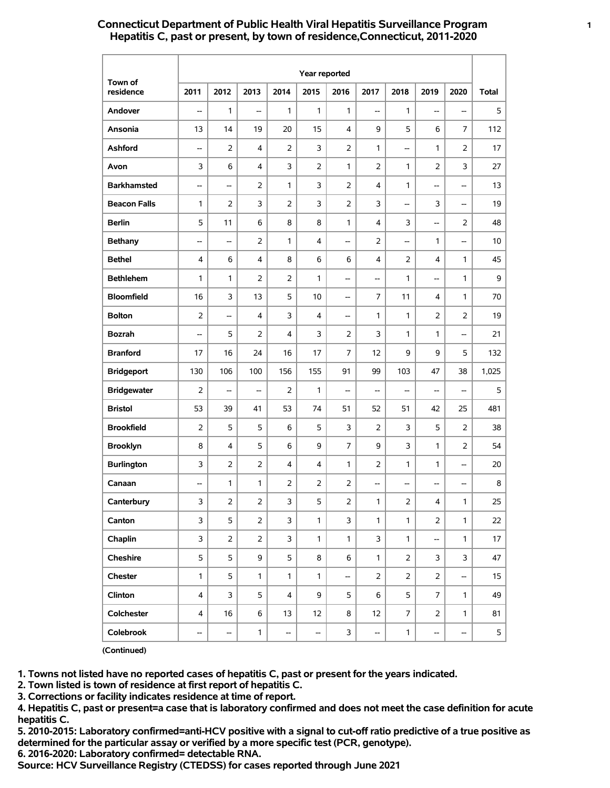# **Connecticut Department of Public Health Viral Hepatitis Surveillance Program 1 Hepatitis C, past or present, by town of residence,Connecticut, 2011-2020**

|                      | Year reported  |                         |                |                |              |                          |                                    |                |                          |                          |              |
|----------------------|----------------|-------------------------|----------------|----------------|--------------|--------------------------|------------------------------------|----------------|--------------------------|--------------------------|--------------|
| Town of<br>residence | 2011           | 2012                    | 2013           | 2014           | 2015         | 2016                     | 2017                               | 2018           | 2019                     | 2020                     | <b>Total</b> |
| Andover              | --             | 1                       | --             | 1              | 1            | 1                        | $\overline{\phantom{a}}$           | 1              | --                       | --                       | 5            |
| Ansonia              | 13             | 14                      | 19             | 20             | 15           | 4                        | 9                                  | 5              | 6                        | 7                        | 112          |
| Ashford              | --             | $\overline{2}$          | 4              | 2              | 3            | $\overline{2}$           | 1                                  | --             | 1                        | $\overline{2}$           | 17           |
| Avon                 | 3              | 6                       | 4              | 3              | 2            | 1                        | $\overline{2}$                     | 1              | $\overline{2}$           | 3                        | 27           |
| <b>Barkhamsted</b>   | --             | --                      | 2              | 1              | 3            | $\overline{2}$           | 4                                  | 1              | --                       | --                       | 13           |
| <b>Beacon Falls</b>  | 1              | $\overline{2}$          | 3              | $\overline{2}$ | 3            | $\overline{2}$           | 3                                  | --             | 3                        | $\overline{\phantom{a}}$ | 19           |
| <b>Berlin</b>        | 5              | 11                      | 6              | 8              | 8            | $\mathbf{1}$             | 4                                  | 3              | --                       | $\overline{2}$           | 48           |
| <b>Bethany</b>       | --             | --                      | 2              | $\mathbf{1}$   | 4            | $\overline{\phantom{a}}$ | $\overline{2}$                     | --             | 1                        | --                       | 10           |
| <b>Bethel</b>        | 4              | 6                       | 4              | 8              | 6            | 6                        | 4                                  | 2              | 4                        | $\mathbf{1}$             | 45           |
| <b>Bethlehem</b>     | 1              | 1                       | 2              | $\overline{2}$ | 1            | $\overline{\phantom{a}}$ | $\hspace{0.05cm} -\hspace{0.05cm}$ | 1              | --                       | $\mathbf{1}$             | 9            |
| <b>Bloomfield</b>    | 16             | 3                       | 13             | 5              | 10           | --                       | 7                                  | 11             | 4                        | 1                        | 70           |
| <b>Bolton</b>        | $\overline{2}$ | --                      | 4              | 3              | 4            | --                       | 1                                  | 1              | $\overline{2}$           | $\overline{2}$           | 19           |
| <b>Bozrah</b>        | --             | 5                       | 2              | 4              | 3            | $\overline{2}$           | 3                                  | 1              | 1                        | --                       | 21           |
| <b>Branford</b>      | 17             | 16                      | 24             | 16             | 17           | $\overline{7}$           | 12                                 | 9              | 9                        | 5                        | 132          |
| <b>Bridgeport</b>    | 130            | 106                     | 100            | 156            | 155          | 91                       | 99                                 | 103            | 47                       | 38                       | 1,025        |
| <b>Bridgewater</b>   | $\overline{2}$ | --                      | --             | 2              | $\mathbf{1}$ | $\overline{\phantom{a}}$ | $\overline{\phantom{a}}$           | --             | --                       | $\overline{\phantom{a}}$ | 5            |
| <b>Bristol</b>       | 53             | 39                      | 41             | 53             | 74           | 51                       | 52                                 | 51             | 42                       | 25                       | 481          |
| <b>Brookfield</b>    | $\overline{2}$ | 5                       | 5              | 6              | 5            | 3                        | $\overline{2}$                     | 3              | 5                        | $\overline{2}$           | 38           |
| <b>Brooklyn</b>      | 8              | 4                       | 5              | 6              | 9            | $\overline{7}$           | 9                                  | 3              | 1                        | $\overline{2}$           | 54           |
| <b>Burlington</b>    | 3              | 2                       | 2              | 4              | 4            | 1                        | $\overline{2}$                     | 1              | 1                        | $\overline{\phantom{a}}$ | 20           |
| Canaan               | --             | 1                       | 1              | 2              | 2            | $\overline{2}$           | $\overline{\phantom{a}}$           | --             | --                       | --                       | 8            |
| Canterbury           | 3              | $\overline{\mathbf{c}}$ | $\overline{c}$ | 3              | 5            | $\overline{\mathbf{c}}$  | 1                                  | $\overline{c}$ | 4                        | 1                        | 25           |
| Canton               | 3              | 5                       | $\overline{2}$ | 3              | $\mathbf{1}$ | 3                        | $\mathbf{1}$                       | $\mathbf{1}$   | $\overline{2}$           | $\mathbf{1}$             | 22           |
| Chaplin              | 3              | $\overline{2}$          | $\overline{2}$ | 3              | $\mathbf{1}$ | $\mathbf{1}$             | 3                                  | $\mathbf{1}$   | $\overline{\phantom{a}}$ | $\mathbf{1}$             | 17           |
| Cheshire             | 5              | 5                       | 9              | 5              | 8            | 6                        | $\mathbf{1}$                       | $\overline{2}$ | 3                        | 3                        | 47           |
| Chester              | $\mathbf{1}$   | 5                       | 1              | $\mathbf{1}$   | $\mathbf{1}$ | $\overline{\phantom{a}}$ | $\overline{2}$                     | $\overline{2}$ | $\overline{2}$           | $\overline{\phantom{a}}$ | 15           |
| Clinton              | 4              | 3                       | 5              | 4              | 9            | 5                        | 6                                  | 5              | 7                        | $\mathbf{1}$             | 49           |
| Colchester           | 4              | 16                      | 6              | 13             | 12           | 8                        | 12                                 | $\overline{7}$ | $\overline{2}$           | $\mathbf{1}$             | 81           |
| Colebrook            | --             | --                      | $\mathbf{1}$   | --             | --           | 3                        | --                                 | $\mathbf{1}$   | --                       | --                       | 5            |

**(Continued)**

**1. Towns not listed have no reported cases of hepatitis C, past or present for the years indicated.**

**2. Town listed is town of residence at first report of hepatitis C.**

**3. Corrections or facility indicates residence at time of report.**

**4. Hepatitis C, past or present=a case that is laboratory confirmed and does not meet the case definition for acute hepatitis C.**

**5. 2010-2015: Laboratory confirmed=anti-HCV positive with a signal to cut-off ratio predictive of a true positive as determined for the particular assay or verified by a more specific test (PCR, genotype).**

**6. 2016-2020: Laboratory confirmed= detectable RNA.**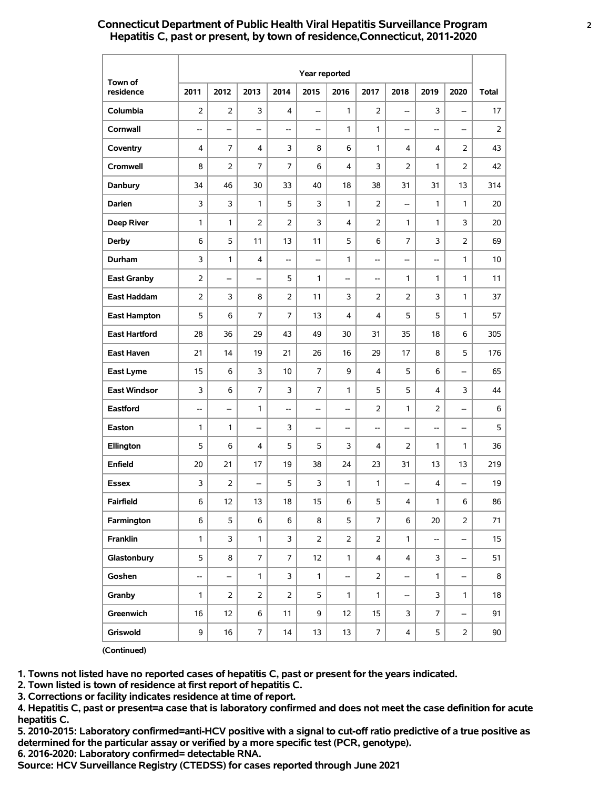# **Connecticut Department of Public Health Viral Hepatitis Surveillance Program 2 Hepatitis C, past or present, by town of residence,Connecticut, 2011-2020**

|                      | Year reported  |                          |                |                |                          |                          |                                    |                          |                          |                          |              |
|----------------------|----------------|--------------------------|----------------|----------------|--------------------------|--------------------------|------------------------------------|--------------------------|--------------------------|--------------------------|--------------|
| Town of<br>residence | 2011           | 2012                     | 2013           | 2014           | 2015                     | 2016                     | 2017                               | 2018                     | 2019                     | 2020                     | <b>Total</b> |
| Columbia             | $\overline{2}$ | 2                        | 3              | 4              | --                       | 1                        | $\overline{2}$                     | --                       | 3                        | $\overline{\phantom{a}}$ | 17           |
| Cornwall             | --             | --                       | --             | --             | $\qquad \qquad -$        | 1                        | 1                                  | --                       | --                       | $\overline{\phantom{a}}$ | 2            |
| Coventry             | 4              | 7                        | 4              | 3              | 8                        | 6                        | 1                                  | 4                        | 4                        | $\overline{2}$           | 43           |
| Cromwell             | 8              | 2                        | 7              | 7              | 6                        | $\overline{4}$           | 3                                  | 2                        | 1                        | $\overline{2}$           | 42           |
| Danbury              | 34             | 46                       | 30             | 33             | 40                       | 18                       | 38                                 | 31                       | 31                       | 13                       | 314          |
| Darien               | 3              | 3                        | 1              | 5              | 3                        | $\mathbf{1}$             | $\overline{2}$                     | --                       | 1                        | $\mathbf{1}$             | 20           |
| <b>Deep River</b>    | 1              | 1                        | $\overline{2}$ | 2              | 3                        | 4                        | $\overline{2}$                     | 1                        | $\mathbf{1}$             | 3                        | 20           |
| <b>Derby</b>         | 6              | 5                        | 11             | 13             | 11                       | 5                        | 6                                  | 7                        | 3                        | $\overline{2}$           | 69           |
| Durham               | 3              | 1                        | 4              | --             | $\overline{\phantom{a}}$ | 1                        | <u></u>                            | --                       | --                       | $\mathbf{1}$             | 10           |
| <b>East Granby</b>   | $\overline{2}$ | --                       | --             | 5              | 1                        | --                       | $\overline{\phantom{a}}$           | 1                        | 1                        | 1                        | 11           |
| <b>East Haddam</b>   | $\overline{2}$ | 3                        | 8              | $\overline{2}$ | 11                       | 3                        | $\overline{2}$                     | 2                        | 3                        | 1                        | 37           |
| <b>East Hampton</b>  | 5              | 6                        | 7              | 7              | 13                       | $\overline{\mathbf{4}}$  | 4                                  | 5                        | 5                        | 1                        | 57           |
| <b>East Hartford</b> | 28             | 36                       | 29             | 43             | 49                       | 30                       | 31                                 | 35                       | 18                       | 6                        | 305          |
| East Haven           | 21             | 14                       | 19             | 21             | 26                       | 16                       | 29                                 | 17                       | 8                        | 5                        | 176          |
| East Lyme            | 15             | 6                        | 3              | 10             | $\overline{7}$           | 9                        | 4                                  | 5                        | 6                        | --                       | 65           |
| <b>East Windsor</b>  | 3              | 6                        | $\overline{7}$ | 3              | 7                        | 1                        | 5                                  | 5                        | 4                        | 3                        | 44           |
| <b>Eastford</b>      | --             | --                       | 1              | --             | --                       | $\overline{\phantom{a}}$ | $\overline{2}$                     | 1                        | 2                        | $\overline{\phantom{a}}$ | 6            |
| Easton               | 1              | 1                        | --             | 3              | --                       | $\overline{\phantom{a}}$ | $\hspace{0.05cm} -\hspace{0.05cm}$ | --                       | --                       | $\overline{\phantom{a}}$ | 5            |
| Ellington            | 5              | 6                        | 4              | 5              | 5                        | 3                        | 4                                  | 2                        | 1                        | 1                        | 36           |
| Enfield              | 20             | 21                       | 17             | 19             | 38                       | 24                       | 23                                 | 31                       | 13                       | 13                       | 219          |
| Essex                | 3              | $\overline{2}$           | --             | 5              | 3                        | 1                        | 1                                  | --                       | 4                        | $\overline{\phantom{a}}$ | 19           |
| Fairfield            | 6              | 12                       | 13             | 18             | 15                       | 6                        | 5                                  | $\overline{\mathbf{4}}$  | $\mathbf{1}$             | $\,$ 6 $\,$              | 86           |
| Farmington           | 6              | 5                        | 6              | 6              | 8                        | 5                        | $\overline{7}$                     | 6                        | 20                       | $\overline{2}$           | 71           |
| Franklin             | $\mathbf{1}$   | 3                        | $\mathbf{1}$   | 3              | $\overline{2}$           | $\overline{2}$           | $\overline{2}$                     | $\mathbf{1}$             | $\overline{\phantom{a}}$ | --                       | 15           |
| Glastonbury          | 5              | 8                        | 7              | $\overline{7}$ | 12                       | $\mathbf{1}$             | $\overline{4}$                     | 4                        | 3                        | --                       | 51           |
| Goshen               | --             | $\overline{\phantom{0}}$ | $\mathbf{1}$   | 3              | $\mathbf{1}$             | $\overline{\phantom{a}}$ | 2                                  | $\overline{\phantom{a}}$ | $\mathbf{1}$             | --                       | 8            |
| Granby               | 1              | $\overline{2}$           | $\overline{2}$ | $\overline{2}$ | 5                        | $\mathbf{1}$             | $\mathbf{1}$                       | --                       | 3                        | $\mathbf{1}$             | 18           |
| Greenwich            | 16             | 12                       | 6              | 11             | 9                        | 12                       | 15                                 | 3                        | $\overline{7}$           | --                       | 91           |
| Griswold             | 9              | 16                       | 7              | 14             | 13                       | 13                       | $\overline{7}$                     | 4                        | 5                        | $\overline{a}$           | $90\,$       |

**(Continued)**

**1. Towns not listed have no reported cases of hepatitis C, past or present for the years indicated.**

**2. Town listed is town of residence at first report of hepatitis C.**

**3. Corrections or facility indicates residence at time of report.**

**4. Hepatitis C, past or present=a case that is laboratory confirmed and does not meet the case definition for acute hepatitis C.**

**5. 2010-2015: Laboratory confirmed=anti-HCV positive with a signal to cut-off ratio predictive of a true positive as determined for the particular assay or verified by a more specific test (PCR, genotype).**

**6. 2016-2020: Laboratory confirmed= detectable RNA.**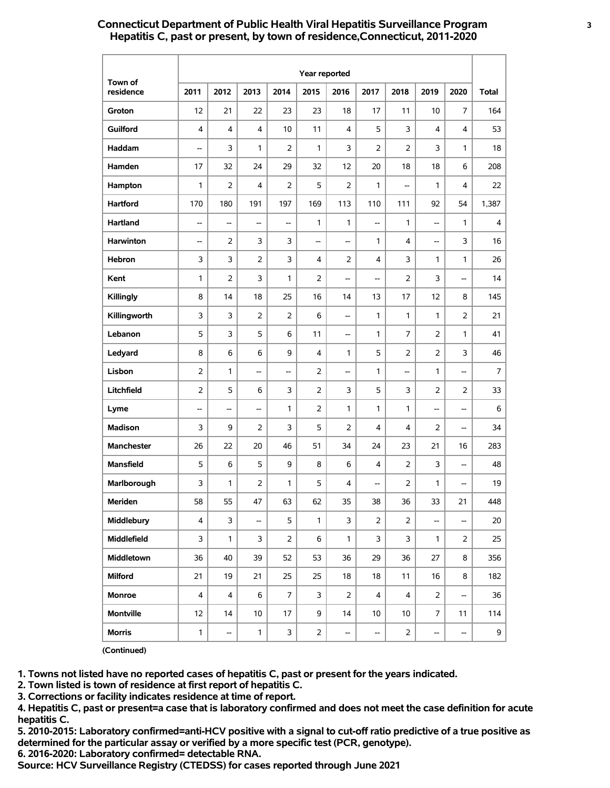# **Connecticut Department of Public Health Viral Hepatitis Surveillance Program 3 Hepatitis C, past or present, by town of residence,Connecticut, 2011-2020**

|                      | Year reported            |                |                          |                |                |                                    |                          |                |                          |                          |              |  |  |
|----------------------|--------------------------|----------------|--------------------------|----------------|----------------|------------------------------------|--------------------------|----------------|--------------------------|--------------------------|--------------|--|--|
| Town of<br>residence | 2011                     | 2012           | 2013                     | 2014           | 2015           | 2016                               | 2017                     | 2018           | 2019                     | 2020                     | <b>Total</b> |  |  |
| Groton               | 12                       | 21             | 22                       | 23             | 23             | 18                                 | 17                       | 11             | 10                       | 7                        | 164          |  |  |
| <b>Guilford</b>      | 4                        | 4              | 4                        | 10             | 11             | 4                                  | 5                        | 3              | 4                        | 4                        | 53           |  |  |
| Haddam               | --                       | 3              | 1                        | $\overline{2}$ | 1              | 3                                  | $\overline{2}$           | $\overline{2}$ | 3                        | 1                        | 18           |  |  |
| Hamden               | 17                       | 32             | 24                       | 29             | 32             | 12                                 | 20                       | 18             | 18                       | 6                        | 208          |  |  |
| Hampton              | $\mathbf{1}$             | $\overline{2}$ | 4                        | $\overline{2}$ | 5              | $\overline{2}$                     | $\mathbf{1}$             | --             | $\mathbf{1}$             | 4                        | 22           |  |  |
| <b>Hartford</b>      | 170                      | 180            | 191                      | 197            | 169            | 113                                | 110                      | 111            | 92                       | 54                       | 1,387        |  |  |
| Hartland             | --                       | --             | --                       | --             | 1              | $\mathbf{1}$                       | <u></u>                  | $\mathbf{1}$   | --                       | $\mathbf{1}$             | 4            |  |  |
| Harwinton            | $\overline{\phantom{a}}$ | $\overline{2}$ | 3                        | 3              | --             | --                                 | $\mathbf{1}$             | 4              | --                       | 3                        | 16           |  |  |
| Hebron               | 3                        | 3              | 2                        | 3              | 4              | 2                                  | 4                        | 3              | 1                        | 1                        | 26           |  |  |
| Kent                 | 1                        | $\overline{2}$ | 3                        | 1              | 2              | --                                 | --                       | $\overline{2}$ | 3                        | --                       | 14           |  |  |
| Killingly            | 8                        | 14             | 18                       | 25             | 16             | 14                                 | 13                       | 17             | 12                       | 8                        | 145          |  |  |
| Killingworth         | 3                        | 3              | 2                        | 2              | 6              | --                                 | 1                        | 1              | 1                        | $\overline{2}$           | 21           |  |  |
| Lebanon              | 5                        | 3              | 5                        | 6              | 11             | $\hspace{0.05cm} -\hspace{0.05cm}$ | $\mathbf{1}$             | $\overline{7}$ | $\overline{2}$           | $\mathbf{1}$             | 41           |  |  |
| Ledyard              | 8                        | 6              | 6                        | 9              | 4              | 1                                  | 5                        | 2              | $\overline{2}$           | 3                        | 46           |  |  |
| Lisbon               | $\overline{2}$           | 1              | --                       | --             | $\overline{2}$ | --                                 | $\mathbf{1}$             | --             | 1                        | --                       | 7            |  |  |
| Litchfield           | 2                        | 5              | 6                        | 3              | $\overline{2}$ | 3                                  | 5                        | 3              | $\overline{2}$           | $\overline{2}$           | 33           |  |  |
| Lyme                 | $\overline{\phantom{a}}$ | --             | --                       | 1              | $\overline{2}$ | $\mathbf{1}$                       | $\mathbf{1}$             | $\mathbf{1}$   | --                       | $\overline{\phantom{a}}$ | 6            |  |  |
| <b>Madison</b>       | 3                        | 9              | 2                        | 3              | 5              | $\overline{2}$                     | 4                        | 4              | 2                        | --                       | 34           |  |  |
| Manchester           | 26                       | 22             | 20                       | 46             | 51             | 34                                 | 24                       | 23             | 21                       | 16                       | 283          |  |  |
| <b>Mansfield</b>     | 5                        | 6              | 5                        | 9              | 8              | 6                                  | 4                        | 2              | 3                        | --                       | 48           |  |  |
| Marlborough          | 3                        | 1              | 2                        | 1              | 5              | 4                                  | $\overline{\phantom{0}}$ | 2              | 1                        | --                       | 19           |  |  |
| Meriden              | 58                       | 55             | 47                       | 63             | 62             | 35                                 | 38                       | 36             | 33                       | 21                       | 448          |  |  |
| Middlebury           | $\overline{4}$           | 3              | $\overline{\phantom{0}}$ | 5              | $\mathbf{1}$   | 3                                  | $\overline{2}$           | $\overline{2}$ | --                       | --                       | 20           |  |  |
| Middlefield          | 3                        | $\mathbf{1}$   | 3                        | 2              | 6              | $\mathbf{1}$                       | 3                        | 3              | $\mathbf{1}$             | 2                        | 25           |  |  |
| Middletown           | 36                       | 40             | 39                       | 52             | 53             | 36                                 | 29                       | 36             | 27                       | 8                        | 356          |  |  |
| <b>Milford</b>       | 21                       | 19             | 21                       | 25             | 25             | 18                                 | 18                       | 11             | 16                       | 8                        | 182          |  |  |
| Monroe               | $\overline{4}$           | $\overline{4}$ | 6                        | $\overline{7}$ | 3              | $\overline{2}$                     | $\overline{4}$           | $\overline{4}$ | $\overline{2}$           | --                       | 36           |  |  |
| <b>Montville</b>     | 12                       | 14             | 10                       | 17             | 9              | 14                                 | 10                       | 10             | $\overline{7}$           | 11                       | 114          |  |  |
| <b>Morris</b>        | $\mathbf{1}$             | --             | 1                        | 3              | $\overline{a}$ | --                                 | --                       | $\overline{2}$ | $\overline{\phantom{a}}$ | --                       | 9            |  |  |

**(Continued)**

**1. Towns not listed have no reported cases of hepatitis C, past or present for the years indicated.**

**2. Town listed is town of residence at first report of hepatitis C.**

**3. Corrections or facility indicates residence at time of report.**

**4. Hepatitis C, past or present=a case that is laboratory confirmed and does not meet the case definition for acute hepatitis C.**

**5. 2010-2015: Laboratory confirmed=anti-HCV positive with a signal to cut-off ratio predictive of a true positive as determined for the particular assay or verified by a more specific test (PCR, genotype).**

**6. 2016-2020: Laboratory confirmed= detectable RNA.**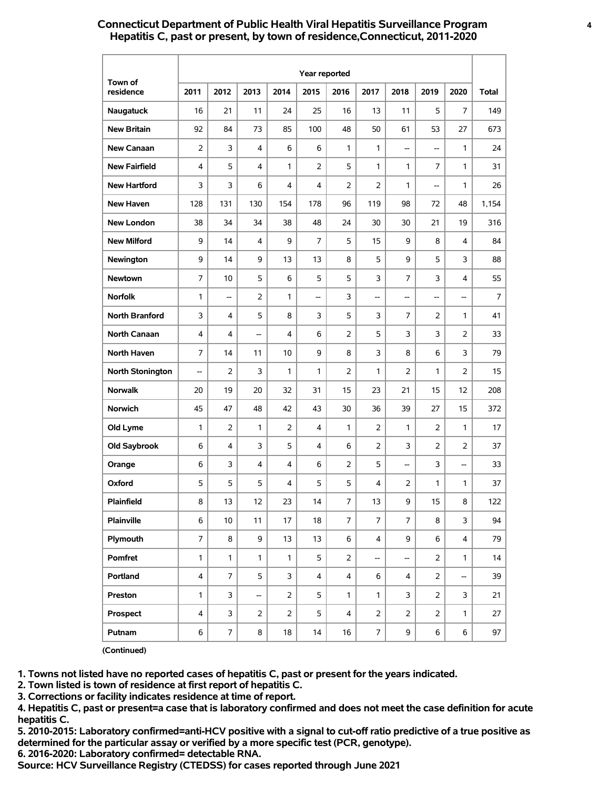# **Connecticut Department of Public Health Viral Hepatitis Surveillance Program 4 Hepatitis C, past or present, by town of residence,Connecticut, 2011-2020**

|                      |                |                |                |                | Year reported |                  |                         |                |                |                          |              |
|----------------------|----------------|----------------|----------------|----------------|---------------|------------------|-------------------------|----------------|----------------|--------------------------|--------------|
| Town of<br>residence | 2011           | 2012           | 2013           | 2014           | 2015          | 2016             | 2017                    | 2018           | 2019           | 2020                     | <b>Total</b> |
| Naugatuck            | 16             | 21             | 11             | 24             | 25            | 16               | 13                      | 11             | 5              | 7                        | 149          |
| <b>New Britain</b>   | 92             | 84             | 73             | 85             | 100           | 48               | 50                      | 61             | 53             | 27                       | 673          |
| <b>New Canaan</b>    | 2              | 3              | 4              | 6              | 6             | 1                | 1                       | --             | --             | 1                        | 24           |
| <b>New Fairfield</b> | 4              | 5              | 4              | 1              | 2             | 5                | $\mathbf{1}$            | 1              | 7              | 1                        | 31           |
| <b>New Hartford</b>  | 3              | 3              | 6              | 4              | 4             | $\overline{2}$   | $\overline{2}$          | 1              | --             | 1                        | 26           |
| <b>New Haven</b>     | 128            | 131            | 130            | 154            | 178           | 96               | 119                     | 98             | 72             | 48                       | 1,154        |
| <b>New London</b>    | 38             | 34             | 34             | 38             | 48            | 24               | 30                      | 30             | 21             | 19                       | 316          |
| <b>New Milford</b>   | 9              | 14             | 4              | 9              | 7             | 5                | 15                      | 9              | 8              | 4                        | 84           |
| Newington            | 9              | 14             | 9              | 13             | 13            | 8                | 5                       | 9              | 5              | 3                        | 88           |
| Newtown              | 7              | 10             | 5              | 6              | 5             | 5                | 3                       | 7              | 3              | 4                        | 55           |
| <b>Norfolk</b>       | 1              | --             | 2              | 1              | --            | 3                | --                      | --             | --             | --                       | 7            |
| North Branford       | 3              | 4              | 5              | 8              | 3             | 5                | 3                       | 7              | 2              | 1                        | 41           |
| <b>North Canaan</b>  | 4              | 4              | --             | 4              | 6             | 2                | 5                       | 3              | 3              | $\overline{2}$           | 33           |
| North Haven          | 7              | 14             | 11             | 10             | 9             | 8                | 3                       | 8              | 6              | 3                        | 79           |
| North Stonington     | --             | $\overline{2}$ | 3              | 1              | 1             | $\overline{2}$   | 1                       | 2              | 1              | $\overline{2}$           | 15           |
| <b>Norwalk</b>       | 20             | 19             | 20             | 32             | 31            | 15               | 23                      | 21             | 15             | 12                       | 208          |
| <b>Norwich</b>       | 45             | 47             | 48             | 42             | 43            | 30               | 36                      | 39             | 27             | 15                       | 372          |
| Old Lyme             | 1              | 2              | 1              | 2              | 4             | 1                | 2                       | $\mathbf{1}$   | $\overline{2}$ | $\mathbf{1}$             | 17           |
| Old Saybrook         | 6              | 4              | 3              | 5              | 4             | 6                | 2                       | 3              | $\overline{2}$ | 2                        | 37           |
| Orange               | 6              | 3              | 4              | 4              | 6             | $\overline{2}$   | 5                       | --             | 3              | --                       | 33           |
| Oxford               | 5              | 5              | 5              | 4              | 5             | 5                | 4                       | 2              | 1              | 1                        | 37           |
| Plainfield           | 8              | 13             | 12             | 23             | 14            | $\boldsymbol{7}$ | 13                      | 9              | 15             | 8                        | 122          |
| <b>Plainville</b>    | 6              | 10             | 11             | 17             | 18            | $\boldsymbol{7}$ | $\overline{7}$          | $\overline{7}$ | 8              | 3                        | 94           |
| Plymouth             | $\overline{7}$ | 8              | 9              | 13             | 13            | 6                | $\overline{\mathbf{4}}$ | 9              | 6              | $\overline{4}$           | 79           |
| Pomfret              | $\mathbf{1}$   | $\mathbf{1}$   | 1              | $\mathbf{1}$   | 5             | $\overline{2}$   | --                      | --             | $\overline{2}$ | $\mathbf{1}$             | 14           |
| Portland             | 4              | $\overline{7}$ | 5              | 3              | 4             | $\overline{4}$   | 6                       | 4              | 2              | $\overline{\phantom{a}}$ | 39           |
| Preston              | 1              | 3              | --             | $\overline{2}$ | 5             | $\mathbf{1}$     | $\mathbf{1}$            | 3              | $\overline{2}$ | 3                        | 21           |
| Prospect             | 4              | 3              | $\overline{2}$ | $\overline{2}$ | 5             | 4                | $\overline{2}$          | $\overline{2}$ | $\overline{2}$ | $\mathbf{1}$             | 27           |
| Putnam               | 6              | $\overline{7}$ | 8              | 18             | 14            | 16               | $\overline{7}$          | 9              | 6              | 6                        | 97           |

**(Continued)**

**1. Towns not listed have no reported cases of hepatitis C, past or present for the years indicated.**

**2. Town listed is town of residence at first report of hepatitis C.**

**3. Corrections or facility indicates residence at time of report.**

**4. Hepatitis C, past or present=a case that is laboratory confirmed and does not meet the case definition for acute hepatitis C.**

**5. 2010-2015: Laboratory confirmed=anti-HCV positive with a signal to cut-off ratio predictive of a true positive as determined for the particular assay or verified by a more specific test (PCR, genotype).**

**6. 2016-2020: Laboratory confirmed= detectable RNA.**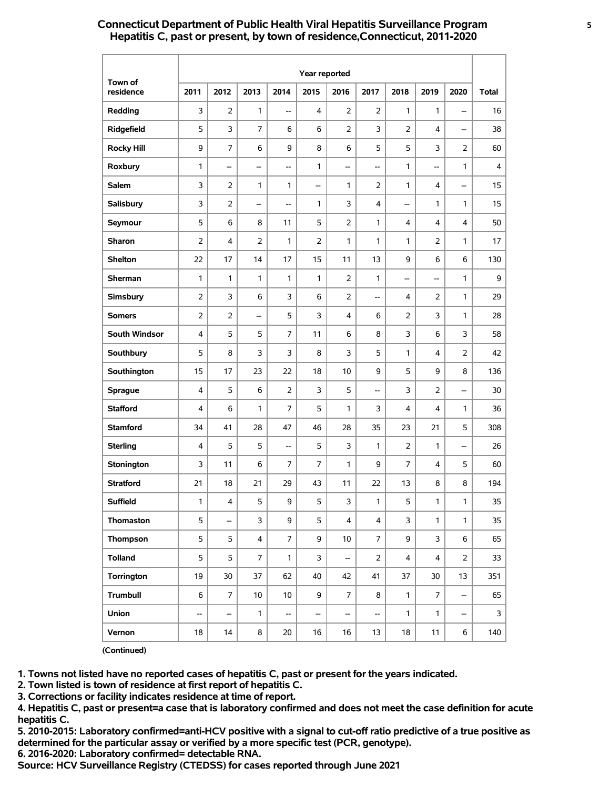# **Connecticut Department of Public Health Viral Hepatitis Surveillance Program 5 Hepatitis C, past or present, by town of residence,Connecticut, 2011-2020**

|                      | Year reported  |                |                         |                |                |                          |                          |                |                |                          |              |
|----------------------|----------------|----------------|-------------------------|----------------|----------------|--------------------------|--------------------------|----------------|----------------|--------------------------|--------------|
| Town of<br>residence | 2011           | 2012           | 2013                    | 2014           | 2015           | 2016                     | 2017                     | 2018           | 2019           | 2020                     | <b>Total</b> |
| Redding              | 3              | 2              | 1                       | --             | 4              | 2                        | $\overline{2}$           | 1              | 1              | --                       | 16           |
| Ridgefield           | 5              | 3              | $\overline{7}$          | 6              | 6              | 2                        | 3                        | 2              | 4              | --                       | 38           |
| <b>Rocky Hill</b>    | 9              | 7              | 6                       | 9              | 8              | 6                        | 5                        | 5              | 3              | $\overline{2}$           | 60           |
| Roxbury              | 1              | --             | --                      | --             | 1              | --                       | --                       | 1              | --             | 1                        | 4            |
| <b>Salem</b>         | 3              | $\overline{2}$ | 1                       | 1              | Ξ.             | 1                        | $\overline{2}$           | 1              | 4              | $\overline{\phantom{a}}$ | 15           |
| Salisbury            | 3              | $\overline{2}$ | --                      | --             | 1              | 3                        | 4                        | --             | 1              | $\mathbf{1}$             | 15           |
| Seymour              | 5              | 6              | 8                       | 11             | 5              | 2                        | $\mathbf{1}$             | 4              | 4              | 4                        | 50           |
| <b>Sharon</b>        | $\overline{2}$ | 4              | $\overline{2}$          | 1              | $\overline{2}$ | 1                        | 1                        | 1              | 2              | 1                        | 17           |
| <b>Shelton</b>       | 22             | 17             | 14                      | 17             | 15             | 11                       | 13                       | 9              | 6              | 6                        | 130          |
| Sherman              | 1              | 1              | 1                       | 1              | 1              | $\overline{2}$           | 1                        | --             | --             | 1                        | 9            |
| Simsbury             | $\overline{2}$ | 3              | 6                       | 3              | 6              | $\overline{2}$           | --                       | 4              | $\overline{2}$ | 1                        | 29           |
| <b>Somers</b>        | $\overline{2}$ | 2              | --                      | 5              | 3              | $\overline{4}$           | 6                        | 2              | 3              | 1                        | 28           |
| South Windsor        | 4              | 5              | 5                       | $\overline{7}$ | 11             | 6                        | 8                        | 3              | 6              | 3                        | 58           |
| Southbury            | 5              | 8              | 3                       | 3              | 8              | 3                        | 5                        | 1              | 4              | $\overline{2}$           | 42           |
| Southington          | 15             | 17             | 23                      | 22             | 18             | 10                       | 9                        | 5              | 9              | 8                        | 136          |
| <b>Sprague</b>       | 4              | 5              | 6                       | $\overline{2}$ | 3              | 5                        | --                       | 3              | $\overline{2}$ | --                       | 30           |
| <b>Stafford</b>      | 4              | 6              | 1                       | $\overline{7}$ | 5              | 1                        | 3                        | 4              | 4              | 1                        | 36           |
| <b>Stamford</b>      | 34             | 41             | 28                      | 47             | 46             | 28                       | 35                       | 23             | 21             | 5                        | 308          |
| <b>Sterling</b>      | 4              | 5              | 5                       | --             | 5              | 3                        | 1                        | 2              | 1              | $\overline{\phantom{a}}$ | 26           |
| Stonington           | 3              | 11             | 6                       | 7              | 7              | 1                        | 9                        | 7              | 4              | 5                        | 60           |
| <b>Stratford</b>     | 21             | 18             | 21                      | 29             | 43             | 11                       | 22                       | 13             | 8              | 8                        | 194          |
| Suffield             | 1              | 4              | 5                       | 9              | 5              | 3                        | $\mathbf{1}$             | 5              | $\mathbf{1}$   | $\mathbf{1}$             | 35           |
| Thomaston            | 5              | --             | 3                       | 9              | 5              | $\overline{4}$           | $\overline{4}$           | 3              | $\mathbf{1}$   | $\mathbf{1}$             | 35           |
| Thompson             | 5              | 5              | $\overline{\mathbf{4}}$ | $\overline{7}$ | 9              | 10                       | $\overline{7}$           | 9              | 3              | 6                        | 65           |
| <b>Tolland</b>       | 5              | 5              | 7                       | $\mathbf{1}$   | 3              | $\overline{\phantom{a}}$ | $\overline{2}$           | $\overline{4}$ | 4              | $\overline{2}$           | 33           |
| Torrington           | 19             | 30             | 37                      | 62             | 40             | 42                       | 41                       | 37             | 30             | 13                       | 351          |
| <b>Trumbull</b>      | 6              | $\overline{7}$ | 10                      | 10             | 9              | $\overline{7}$           | 8                        | $\mathbf{1}$   | 7              | --                       | 65           |
| Union                | --             | --             | $\mathbf{1}$            | --             | --             | $\overline{\phantom{a}}$ | $\overline{\phantom{a}}$ | 1              | $\mathbf{1}$   | --                       | 3            |
| Vernon               | 18             | 14             | 8                       | 20             | 16             | 16                       | 13                       | 18             | 11             | 6                        | 140          |

**(Continued)**

**1. Towns not listed have no reported cases of hepatitis C, past or present for the years indicated.**

**2. Town listed is town of residence at first report of hepatitis C.**

**3. Corrections or facility indicates residence at time of report.**

**4. Hepatitis C, past or present=a case that is laboratory confirmed and does not meet the case definition for acute hepatitis C.**

**5. 2010-2015: Laboratory confirmed=anti-HCV positive with a signal to cut-off ratio predictive of a true positive as determined for the particular assay or verified by a more specific test (PCR, genotype).**

**6. 2016-2020: Laboratory confirmed= detectable RNA.**